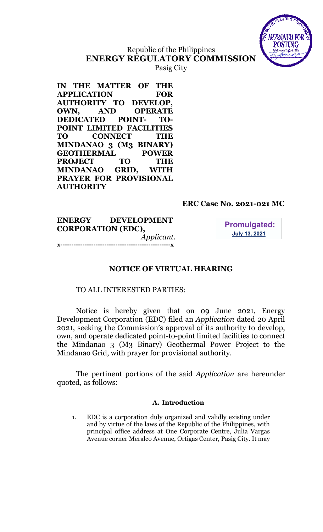

# Republic of the Philippines ENERGY REGULATORY COMMISSION Pasig City

IN THE MATTER OF THE APPLICATION FOR AUTHORITY TO DEVELOP, OWN, AND OPERATE DEDICATED POINT- TO-POINT LIMITED FACILITIES TO CONNECT THE MINDANAO 3 (M3 BINARY) GEOTHERMAL POWER PROJECT TO THE MINDANAO GRID, WITH PRAYER FOR PROVISIONAL **AUTHORITY** 

## ERC Case No. 2021-021 MC

ENERGY DEVELOPMENT CORPORATION (EDC), Applicant. x--------------------------------------------------x

**Promulgated: July 13, 2021** 

## NOTICE OF VIRTUAL HEARING

### TO ALL INTERESTED PARTIES:

Notice is hereby given that on 09 June 2021, Energy Development Corporation (EDC) filed an Application dated 20 April 2021, seeking the Commission's approval of its authority to develop, own, and operate dedicated point-to-point limited facilities to connect the Mindanao 3 (M3 Binary) Geothermal Power Project to the Mindanao Grid, with prayer for provisional authority.

The pertinent portions of the said Application are hereunder quoted, as follows:

### A. Introduction

1. EDC is a corporation duly organized and validly existing under and by virtue of the laws of the Republic of the Philippines, with principal office address at One Corporate Centre, Julia Vargas Avenue corner Meralco Avenue, Ortigas Center, Pasig City. It may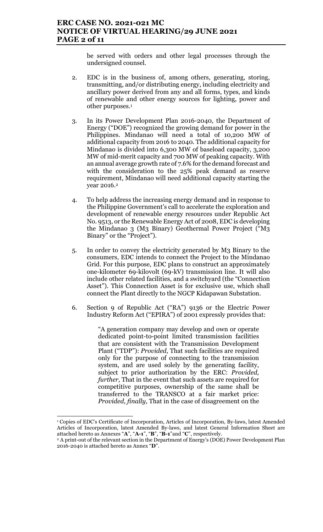be served with orders and other legal processes through the undersigned counsel.

- 2. EDC is in the business of, among others, generating, storing, transmitting, and/or distributing energy, including electricity and ancillary power derived from any and all forms, types, and kinds of renewable and other energy sources for lighting, power and other purposes.<sup>1</sup>
- 3. In its Power Development Plan 2016-2040, the Department of Energy ("DOE") recognized the growing demand for power in the Philippines. Mindanao will need a total of 10,200 MW of additional capacity from 2016 to 2040. The additional capacity for Mindanao is divided into 6,300 MW of baseload capacity, 3,200 MW of mid-merit capacity and 700 MW of peaking capacity. With an annual average growth rate of 7.6% for the demand forecast and with the consideration to the 25% peak demand as reserve requirement, Mindanao will need additional capacity starting the year 2016.<sup>2</sup>
- 4. To help address the increasing energy demand and in response to the Philippine Government's call to accelerate the exploration and development of renewable energy resources under Republic Act No. 9513, or the Renewable Energy Act of 2008, EDC is developing the Mindanao 3 (M3 Binary) Geothermal Power Project ("M3 Binary" or the "Project").
- 5. In order to convey the electricity generated by M3 Binary to the consumers, EDC intends to connect the Project to the Mindanao Grid. For this purpose, EDC plans to construct an approximately one-kilometer 69-kilovolt (69-kV) transmission line. It will also include other related facilities, and a switchyard (the "Connection Asset"). This Connection Asset is for exclusive use, which shall connect the Plant directly to the NGCP Kidapawan Substation.
- 6. Section 9 of Republic Act ("RA") 9136 or the Electric Power Industry Reform Act ("EPIRA") of 2001 expressly provides that:

"A generation company may develop and own or operate dedicated point-to-point limited transmission facilities that are consistent with the Transmission Development Plant ("TDP"): Provided, That such facilities are required only for the purpose of connecting to the transmission system, and are used solely by the generating facility, subject to prior authorization by the ERC: Provided, further, That in the event that such assets are required for competitive purposes, ownership of the same shall be transferred to the TRANSCO at a fair market price: Provided, finally, That in the case of disagreement on the

<sup>1</sup> Copies of EDC's Certificate of Incorporation, Articles of Incorporation, By-laws, latest Amended Articles of Incorporation, latest Amended By-laws, and latest General Information Sheet are attached hereto as Annexes "A", "A-1", "B", "B-1"and "C", respectively.

<sup>2</sup> A print-out of the relevant section in the Department of Energy's (DOE) Power Development Plan 2016-2040 is attached hereto as Annex "D".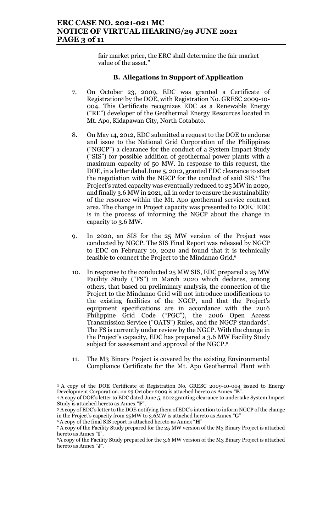fair market price, the ERC shall determine the fair market value of the asset."

### B. Allegations in Support of Application

- 7. On October 23, 2009, EDC was granted a Certificate of Registration3 by the DOE, with Registration No. GRESC 2009-10- 004. This Certificate recognizes EDC as a Renewable Energy ("RE") developer of the Geothermal Energy Resources located in Mt. Apo, Kidapawan City, North Cotabato.
- 8. On May 14, 2012, EDC submitted a request to the DOE to endorse and issue to the National Grid Corporation of the Philippines ("NGCP") a clearance for the conduct of a System Impact Study ("SIS") for possible addition of geothermal power plants with a maximum capacity of 50 MW. In response to this request, the DOE, in a letter dated June 5, 2012, granted EDC clearance to start the negotiation with the NGCP for the conduct of said SIS.<sup>4</sup> The Project's rated capacity was eventually reduced to 25 MW in 2020, and finally 3.6 MW in 2021, all in order to ensure the sustainability of the resource within the Mt. Apo geothermal service contract area. The change in Project capacity was presented to DOE.<sup>5</sup> EDC is in the process of informing the NGCP about the change in capacity to 3.6 MW.
- 9. In 2020, an SIS for the 25 MW version of the Project was conducted by NGCP. The SIS Final Report was released by NGCP to EDC on February 10, 2020 and found that it is technically feasible to connect the Project to the Mindanao Grid.<sup>6</sup>
- 10. In response to the conducted 25 MW SIS, EDC prepared a 25 MW Facility Study ("FS") in March 2020 which declares, among others, that based on preliminary analysis, the connection of the Project to the Mindanao Grid will not introduce modifications to the existing facilities of the NGCP, and that the Project's equipment specifications are in accordance with the 2016 Philippine Grid Code ("PGC"), the 2006 Open Access Transmission Service ("OATS") Rules, and the NGCP standards<sup>7</sup>. The FS is currently under review by the NGCP. With the change in the Project's capacity, EDC has prepared a 3.6 MW Facility Study subject for assessment and approval of the NGCP.<sup>8</sup>
- 11. The M3 Binary Project is covered by the existing Environmental Compliance Certificate for the Mt. Apo Geothermal Plant with

 $\overline{a}$ 

<sup>3</sup> A copy of the DOE Certificate of Registration No. GRESC 2009-10-004 issued to Energy Development Corporation. on 23 October 2009 is attached hereto as Annex "E".

<sup>4</sup> A copy of DOE's letter to EDC dated June 5, 2012 granting clearance to undertake System Impact Study is attached hereto as Annex "F".

<sup>5</sup>A copy of EDC's letter to the DOE notifying them of EDC's intention to inform NGCP of the change in the Project's capacity from 25MW to 3.6MW is attached hereto as Annex "G"

 $6A$  copy of the final SIS report is attached hereto as Annex " $H$ "

<sup>7</sup> A copy of the Facility Study prepared for the 25 MW version of the M3 Binary Project is attached hereto as Annex "I".

<sup>8</sup>A copy of the Facility Study prepared for the 3.6 MW version of the M3 Binary Project is attached hereto as Annex "J".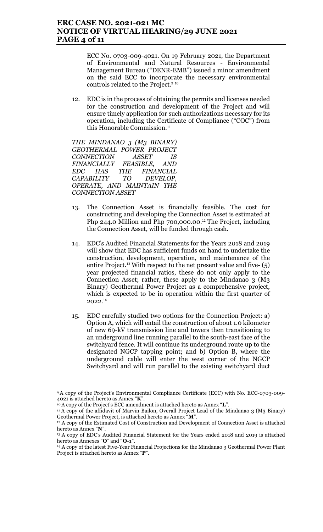### ERC CASE NO. 2021-021 MC NOTICE OF VIRTUAL HEARING/29 JUNE 2021 PAGE 4 of 11

ECC No. 0703-009-4021. On 19 February 2021, the Department of Environmental and Natural Resources - Environmental Management Bureau ("DENR-EMB") issued a minor amendment on the said ECC to incorporate the necessary environmental controls related to the Project.<sup>9 10</sup>

12. EDC is in the process of obtaining the permits and licenses needed for the construction and development of the Project and will ensure timely application for such authorizations necessary for its operation, including the Certificate of Compliance ("COC") from this Honorable Commission.<sup>11</sup>

THE MINDANAO 3 (M3 BINARY) GEOTHERMAL POWER PROJECT CONNECTION ASSET IS FINANCIALLY FEASIBLE, AND EDC HAS THE FINANCIAL CAPABILITY TO DEVELOP, OPERATE, AND MAINTAIN THE CONNECTION ASSET

- 13. The Connection Asset is financially feasible. The cost for constructing and developing the Connection Asset is estimated at Php 244.0 Million and Php  $700,000.00$ .<sup>12</sup> The Project, including the Connection Asset, will be funded through cash.
- 14. EDC's Audited Financial Statements for the Years 2018 and 2019 will show that EDC has sufficient funds on hand to undertake the construction, development, operation, and maintenance of the entire Project.13 With respect to the net present value and five- (5) year projected financial ratios, these do not only apply to the Connection Asset; rather, these apply to the Mindanao 3 (M3 Binary) Geothermal Power Project as a comprehensive project, which is expected to be in operation within the first quarter of 2022.<sup>14</sup>
- 15. EDC carefully studied two options for the Connection Project: a) Option A, which will entail the construction of about 1.0 kilometer of new 69-kV transmission line and towers then transitioning to an underground line running parallel to the south-east face of the switchyard fence. It will continue its underground route up to the designated NGCP tapping point; and b) Option B, where the underground cable will enter the west corner of the NGCP Switchyard and will run parallel to the existing switchyard duct

 $\overline{a}$ 

<sup>9</sup>A copy of the Project's Environmental Compliance Certificate (ECC) with No. ECC-0703-009- 4021 is attached hereto as Annex "K".

<sup>&</sup>lt;sup>10</sup> A copy of the Project's ECC amendment is attached hereto as Annex "L".

<sup>&</sup>lt;sup>11</sup> A copy of the affidavit of Marvin Bailon, Overall Project Lead of the Mindanao 3 (M3 Binary) Geothermal Power Project, is attached hereto as Annex "M".

<sup>&</sup>lt;sup>12</sup> A copy of the Estimated Cost of Construction and Development of Connection Asset is attached hereto as Annex "N".

<sup>13</sup> A copy of EDC's Audited Financial Statement for the Years ended 2018 and 2019 is attached hereto as Annexes "O" and "O-1".

<sup>14</sup> A copy of the latest Five-Year Financial Projections for the Mindanao 3 Geothermal Power Plant Project is attached hereto as Annex "P".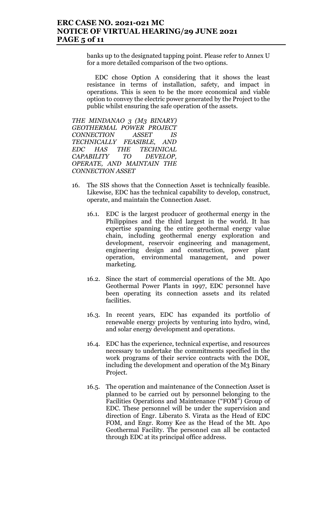### ERC CASE NO. 2021-021 MC NOTICE OF VIRTUAL HEARING/29 JUNE 2021 PAGE 5 of 11

banks up to the designated tapping point. Please refer to Annex U for a more detailed comparison of the two options.

EDC chose Option A considering that it shows the least resistance in terms of installation, safety, and impact in operations. This is seen to be the more economical and viable option to convey the electric power generated by the Project to the public whilst ensuring the safe operation of the assets.

THE MINDANAO 3 (M3 BINARY) GEOTHERMAL POWER PROJECT CONNECTION ASSET IS TECHNICALLY FEASIBLE, AND EDC HAS THE TECHNICAL CAPABILITY TO DEVELOP, OPERATE, AND MAINTAIN THE CONNECTION ASSET

- 16. The SIS shows that the Connection Asset is technically feasible. Likewise, EDC has the technical capability to develop, construct, operate, and maintain the Connection Asset.
	- 16.1. EDC is the largest producer of geothermal energy in the Philippines and the third largest in the world. It has expertise spanning the entire geothermal energy value chain, including geothermal energy exploration and development, reservoir engineering and management, engineering design and construction, power plant operation, environmental management, and power marketing.
	- 16.2. Since the start of commercial operations of the Mt. Apo Geothermal Power Plants in 1997, EDC personnel have been operating its connection assets and its related facilities.
	- 16.3. In recent years, EDC has expanded its portfolio of renewable energy projects by venturing into hydro, wind, and solar energy development and operations.
	- 16.4. EDC has the experience, technical expertise, and resources necessary to undertake the commitments specified in the work programs of their service contracts with the DOE, including the development and operation of the M3 Binary Project.
	- 16.5. The operation and maintenance of the Connection Asset is planned to be carried out by personnel belonging to the Facilities Operations and Maintenance ("FOM") Group of EDC. These personnel will be under the supervision and direction of Engr. Liberato S. Virata as the Head of EDC FOM, and Engr. Romy Kee as the Head of the Mt. Apo Geothermal Facility. The personnel can all be contacted through EDC at its principal office address.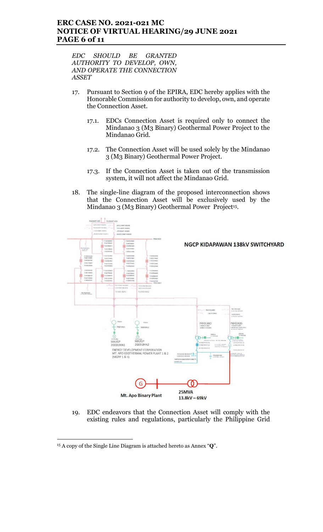### ERC CASE NO. 2021-021 MC NOTICE OF VIRTUAL HEARING/29 JUNE 2021 PAGE 6 of 11

EDC SHOULD BE GRANTED AUTHORITY TO DEVELOP, OWN, AND OPERATE THE CONNECTION ASSET

- 17. Pursuant to Section 9 of the EPIRA, EDC hereby applies with the Honorable Commission for authority to develop, own, and operate the Connection Asset.
	- 17.1. EDCs Connection Asset is required only to connect the Mindanao 3 (M3 Binary) Geothermal Power Project to the Mindanao Grid.
	- 17.2. The Connection Asset will be used solely by the Mindanao 3 (M3 Binary) Geothermal Power Project.
	- 17.3. If the Connection Asset is taken out of the transmission system, it will not affect the Mindanao Grid.
- 18. The single-line diagram of the proposed interconnection shows that the Connection Asset will be exclusively used by the Mindanao 3 (M3 Binary) Geothermal Power Project<sup>15</sup>.



19. EDC endeavors that the Connection Asset will comply with the existing rules and regulations, particularly the Philippine Grid

 $\overline{a}$ 

 $15$  A copy of the Single Line Diagram is attached hereto as Annex " $Q$ ".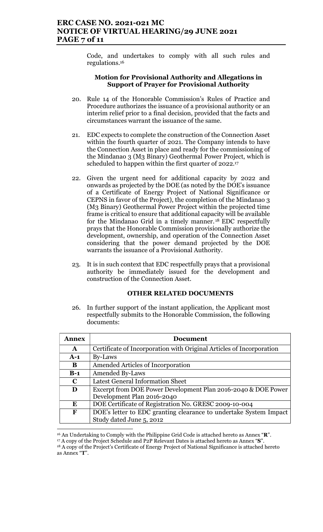Code, and undertakes to comply with all such rules and regulations.<sup>16</sup>

#### Motion for Provisional Authority and Allegations in Support of Prayer for Provisional Authority

- 20. Rule 14 of the Honorable Commission's Rules of Practice and Procedure authorizes the issuance of a provisional authority or an interim relief prior to a final decision, provided that the facts and circumstances warrant the issuance of the same.
- 21. EDC expects to complete the construction of the Connection Asset within the fourth quarter of 2021. The Company intends to have the Connection Asset in place and ready for the commissioning of the Mindanao 3 (M3 Binary) Geothermal Power Project, which is scheduled to happen within the first quarter of 2022.<sup>17</sup>
- 22. Given the urgent need for additional capacity by 2022 and onwards as projected by the DOE (as noted by the DOE's issuance of a Certificate of Energy Project of National Significance or CEPNS in favor of the Project), the completion of the Mindanao 3 (M3 Binary) Geothermal Power Project within the projected time frame is critical to ensure that additional capacity will be available for the Mindanao Grid in a timely manner. <sup>18</sup> EDC respectfully prays that the Honorable Commission provisionally authorize the development, ownership, and operation of the Connection Asset considering that the power demand projected by the DOE warrants the issuance of a Provisional Authority.
- 23. It is in such context that EDC respectfully prays that a provisional authority be immediately issued for the development and construction of the Connection Asset.

#### OTHER RELATED DOCUMENTS

26. In further support of the instant application, the Applicant most respectfully submits to the Honorable Commission, the following documents:

| <b>Annex</b> | <b>Document</b>                                                      |  |  |
|--------------|----------------------------------------------------------------------|--|--|
| A            | Certificate of Incorporation with Original Articles of Incorporation |  |  |
| $A-1$        | By-Laws                                                              |  |  |
| B            | Amended Articles of Incorporation                                    |  |  |
| $B-1$        | <b>Amended By-Laws</b>                                               |  |  |
| $\mathbf C$  | <b>Latest General Information Sheet</b>                              |  |  |
| D            | Excerpt from DOE Power Development Plan 2016-2040 & DOE Power        |  |  |
|              | Development Plan 2016-2040                                           |  |  |
| E            | DOE Certificate of Registration No. GRESC 2009-10-004                |  |  |
| F            | DOE's letter to EDC granting clearance to undertake System Impact    |  |  |
|              | Study dated June 5, 2012                                             |  |  |

 <sup>16</sup> An Undertaking to Comply with the Philippine Grid Code is attached hereto as Annex "R".

<sup>17</sup> A copy of the Project Schedule and P2P Relevant Dates is attached hereto as Annex "S".

<sup>18</sup> A copy of the Project's Certificate of Energy Project of National Significance is attached hereto as Annex "T".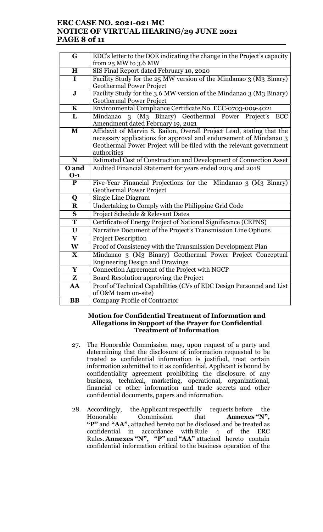## ERC CASE NO. 2021-021 MC NOTICE OF VIRTUAL HEARING/29 JUNE 2021 PAGE 8 of 11

| G                       | EDC's letter to the DOE indicating the change in the Project's capacity            |  |  |  |
|-------------------------|------------------------------------------------------------------------------------|--|--|--|
|                         | from $25$ MW to $3.6$ MW                                                           |  |  |  |
| H                       | SIS Final Report dated February 10, 2020                                           |  |  |  |
| $\mathbf I$             | Facility Study for the 25 MW version of the Mindanao 3 (M3 Binary)                 |  |  |  |
|                         | <b>Geothermal Power Project</b>                                                    |  |  |  |
| $\mathbf{J}$            | Facility Study for the 3.6 MW version of the Mindanao 3 (M3 Binary)                |  |  |  |
|                         | <b>Geothermal Power Project</b>                                                    |  |  |  |
| $\mathbf K$             | Environmental Compliance Certificate No. ECC-0703-009-4021                         |  |  |  |
| L                       | 3 (M <sub>3</sub> Binary) Geothermal Power Project's<br>Mindanao<br>ECC            |  |  |  |
|                         | Amendment dated February 19, 2021                                                  |  |  |  |
| $\mathbf{M}$            | Affidavit of Marvin S. Bailon, Overall Project Lead, stating that the              |  |  |  |
|                         | necessary applications for approval and endorsement of Mindanao 3                  |  |  |  |
|                         | Geothermal Power Project will be filed with the relevant government<br>authorities |  |  |  |
| N                       | Estimated Cost of Construction and Development of Connection Asset                 |  |  |  |
| O and                   | Audited Financial Statement for years ended 2019 and 2018                          |  |  |  |
| $0-1$                   |                                                                                    |  |  |  |
| P                       | Five-Year Financial Projections for the Mindanao 3 (M3 Binary)                     |  |  |  |
|                         | <b>Geothermal Power Project</b>                                                    |  |  |  |
| Q                       | Single Line Diagram                                                                |  |  |  |
| $\bf R$                 | Undertaking to Comply with the Philippine Grid Code                                |  |  |  |
| S                       | Project Schedule & Relevant Dates                                                  |  |  |  |
| $\overline{\mathbf{T}}$ | Certificate of Energy Project of National Significance (CEPNS)                     |  |  |  |
| $\mathbf{U}$            | Narrative Document of the Project's Transmission Line Options                      |  |  |  |
| $\overline{\mathbf{V}}$ | <b>Project Description</b>                                                         |  |  |  |
| W                       | Proof of Consistency with the Transmission Development Plan                        |  |  |  |
| $\mathbf X$             | Mindanao 3 (M3 Binary) Geothermal Power Project Conceptual                         |  |  |  |
|                         | <b>Engineering Design and Drawings</b>                                             |  |  |  |
| Y                       | Connection Agreement of the Project with NGCP                                      |  |  |  |
| Z                       | Board Resolution approving the Project                                             |  |  |  |
| AA                      | Proof of Technical Capabilities (CVs of EDC Design Personnel and List              |  |  |  |
|                         | of O&M team on-site)                                                               |  |  |  |
| <b>BB</b>               | <b>Company Profile of Contractor</b>                                               |  |  |  |

#### Motion for Confidential Treatment of Information and Allegations in Support of the Prayer for Confidential Treatment of Information

- 27. The Honorable Commission may, upon request of a party and determining that the disclosure of information requested to be treated as confidential information is justified, treat certain information submitted to it as confidential. Applicant is bound by confidentiality agreement prohibiting the disclosure of any business, technical, marketing, operational, organizational, financial or other information and trade secrets and other confidential documents, papers and information.
- 28. Accordingly, the Applicant respectfully requests before the Honorable Commission that **Annexes "N".** Commission that **Annexes "N",** "P" and "AA", attached hereto not be disclosed and be treated as confidential in accordance with Rule 4 of the ERC Rules. Annexes "N", "P" and "AA" attached hereto contain confidential information critical to the business operation of the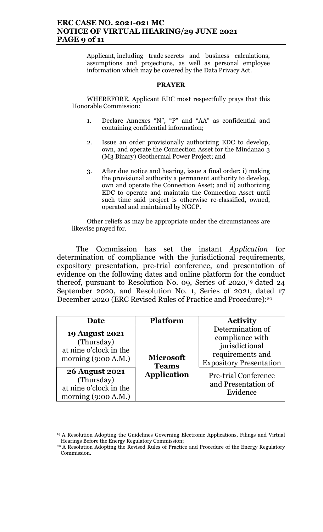## ERC CASE NO. 2021-021 MC NOTICE OF VIRTUAL HEARING/29 JUNE 2021 PAGE 9 of 11

Applicant, including trade secrets and business calculations, assumptions and projections, as well as personal employee information which may be covered by the Data Privacy Act.

#### PRAYER

WHEREFORE, Applicant EDC most respectfully prays that this Honorable Commission:

- 1. Declare Annexes "N", "P" and "AA" as confidential and containing confidential information;
- 2. Issue an order provisionally authorizing EDC to develop, own, and operate the Connection Asset for the Mindanao 3 (M3 Binary) Geothermal Power Project; and
- 3. After due notice and hearing, issue a final order: i) making the provisional authority a permanent authority to develop, own and operate the Connection Asset; and ii) authorizing EDC to operate and maintain the Connection Asset until such time said project is otherwise re-classified, owned, operated and maintained by NGCP.

Other reliefs as may be appropriate under the circumstances are likewise prayed for.

The Commission has set the instant Application for determination of compliance with the jurisdictional requirements, expository presentation, pre-trial conference, and presentation of evidence on the following dates and online platform for the conduct thereof, pursuant to Resolution No. 09, Series 0f 2020,19 dated 24 September 2020, and Resolution No. 1, Series of 2021, dated 17 December 2020 (ERC Revised Rules of Practice and Procedure):<sup>20</sup>

| Date                                                                                   | <b>Platform</b>                  | <b>Activity</b>                                                                                             |
|----------------------------------------------------------------------------------------|----------------------------------|-------------------------------------------------------------------------------------------------------------|
| <b>19 August 2021</b><br>(Thursday)<br>at nine o'clock in the<br>morning $(9:00 A.M.)$ | <b>Microsoft</b><br><b>Teams</b> | Determination of<br>compliance with<br>jurisdictional<br>requirements and<br><b>Expository Presentation</b> |
| <b>26 August 2021</b><br>(Thursday)<br>at nine o'clock in the<br>morning $(9:00 A.M.)$ | <b>Application</b>               | <b>Pre-trial Conference</b><br>and Presentation of<br>Evidence                                              |

<sup>&</sup>lt;sup>19</sup> A Resolution Adopting the Guidelines Governing Electronic Applications, Filings and Virtual Hearings Before the Energy Regulatory Commission;

<sup>&</sup>lt;sup>20</sup> A Resolution Adopting the Revised Rules of Practice and Procedure of the Energy Regulatory Commission.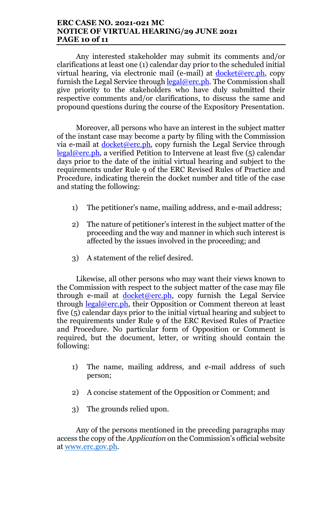### ERC CASE NO. 2021-021 MC NOTICE OF VIRTUAL HEARING/29 JUNE 2021 PAGE 10 of 11

Any interested stakeholder may submit its comments and/or clarifications at least one (1) calendar day prior to the scheduled initial virtual hearing, via electronic mail (e-mail) at  $d$ ocket@erc.ph, copy furnish the Legal Service through legal@erc.ph. The Commission shall give priority to the stakeholders who have duly submitted their respective comments and/or clarifications, to discuss the same and propound questions during the course of the Expository Presentation.

Moreover, all persons who have an interest in the subject matter of the instant case may become a party by filing with the Commission via e-mail at  $\frac{\text{docket@erc.ph}}{\text{o}$ , copy furnish the Legal Service through legal@erc.ph, a verified Petition to Intervene at least five (5) calendar days prior to the date of the initial virtual hearing and subject to the requirements under Rule 9 of the ERC Revised Rules of Practice and Procedure, indicating therein the docket number and title of the case and stating the following:

- 1) The petitioner's name, mailing address, and e-mail address;
- 2) The nature of petitioner's interest in the subject matter of the proceeding and the way and manner in which such interest is affected by the issues involved in the proceeding; and
- 3) A statement of the relief desired.

Likewise, all other persons who may want their views known to the Commission with respect to the subject matter of the case may file through e-mail at docket@erc.ph, copy furnish the Legal Service through  $\frac{\text{legal@erc.ph}}{\text{height}}$ , their Opposition or Comment thereon at least five (5) calendar days prior to the initial virtual hearing and subject to the requirements under Rule 9 of the ERC Revised Rules of Practice and Procedure. No particular form of Opposition or Comment is required, but the document, letter, or writing should contain the following:

- 1) The name, mailing address, and e-mail address of such person;
- 2) A concise statement of the Opposition or Comment; and
- 3) The grounds relied upon.

Any of the persons mentioned in the preceding paragraphs may access the copy of the Application on the Commission's official website at www.erc.gov.ph.